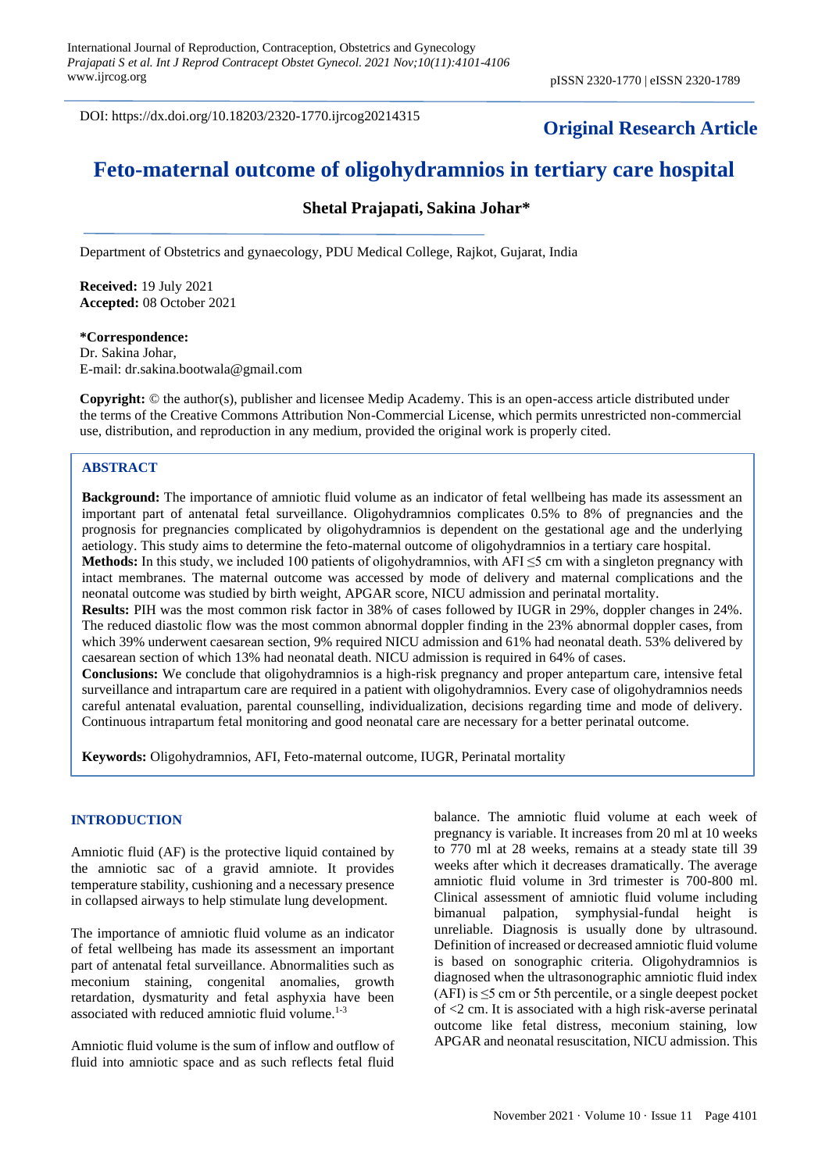DOI: https://dx.doi.org/10.18203/2320-1770.ijrcog20214315

# **Original Research Article**

# **Feto-maternal outcome of oligohydramnios in tertiary care hospital**

# **Shetal Prajapati, Sakina Johar\***

Department of Obstetrics and gynaecology, PDU Medical College, Rajkot, Gujarat, India

**Received:** 19 July 2021 **Accepted:** 08 October 2021

**\*Correspondence:** Dr. Sakina Johar, E-mail: dr.sakina.bootwala@gmail.com

**Copyright:** © the author(s), publisher and licensee Medip Academy. This is an open-access article distributed under the terms of the Creative Commons Attribution Non-Commercial License, which permits unrestricted non-commercial use, distribution, and reproduction in any medium, provided the original work is properly cited.

#### **ABSTRACT**

**Background:** The importance of amniotic fluid volume as an indicator of fetal wellbeing has made its assessment an important part of antenatal fetal surveillance. Oligohydramnios complicates 0.5% to 8% of pregnancies and the prognosis for pregnancies complicated by oligohydramnios is dependent on the gestational age and the underlying aetiology. This study aims to determine the feto-maternal outcome of oligohydramnios in a tertiary care hospital.

**Methods:** In this study, we included 100 patients of oligohydramnios, with AFI ≤5 cm with a singleton pregnancy with intact membranes. The maternal outcome was accessed by mode of delivery and maternal complications and the neonatal outcome was studied by birth weight, APGAR score, NICU admission and perinatal mortality.

**Results:** PIH was the most common risk factor in 38% of cases followed by IUGR in 29%, doppler changes in 24%. The reduced diastolic flow was the most common abnormal doppler finding in the 23% abnormal doppler cases, from which 39% underwent caesarean section, 9% required NICU admission and 61% had neonatal death. 53% delivered by caesarean section of which 13% had neonatal death. NICU admission is required in 64% of cases.

**Conclusions:** We conclude that oligohydramnios is a high-risk pregnancy and proper antepartum care, intensive fetal surveillance and intrapartum care are required in a patient with oligohydramnios. Every case of oligohydramnios needs careful antenatal evaluation, parental counselling, individualization, decisions regarding time and mode of delivery. Continuous intrapartum fetal monitoring and good neonatal care are necessary for a better perinatal outcome.

**Keywords:** Oligohydramnios, AFI, Feto-maternal outcome, IUGR, Perinatal mortality

#### **INTRODUCTION**

Amniotic fluid (AF) is the protective liquid contained by the amniotic sac of a gravid amniote. It provides temperature stability, cushioning and a necessary presence in collapsed airways to help stimulate lung development.

The importance of amniotic fluid volume as an indicator of fetal wellbeing has made its assessment an important part of antenatal fetal surveillance. Abnormalities such as meconium staining, congenital anomalies, growth retardation, dysmaturity and fetal asphyxia have been associated with reduced amniotic fluid volume. 1-3

Amniotic fluid volume is the sum of inflow and outflow of fluid into amniotic space and as such reflects fetal fluid balance. The amniotic fluid volume at each week of pregnancy is variable. It increases from 20 ml at 10 weeks to 770 ml at 28 weeks, remains at a steady state till 39 weeks after which it decreases dramatically. The average amniotic fluid volume in 3rd trimester is 700-800 ml. Clinical assessment of amniotic fluid volume including bimanual palpation, symphysial-fundal height is unreliable. Diagnosis is usually done by ultrasound. Definition of increased or decreased amniotic fluid volume is based on sonographic criteria. Oligohydramnios is diagnosed when the ultrasonographic amniotic fluid index (AFI) is  $\leq$ 5 cm or 5th percentile, or a single deepest pocket of <2 cm. It is associated with a high risk-averse perinatal outcome like fetal distress, meconium staining, low APGAR and neonatal resuscitation, NICU admission. This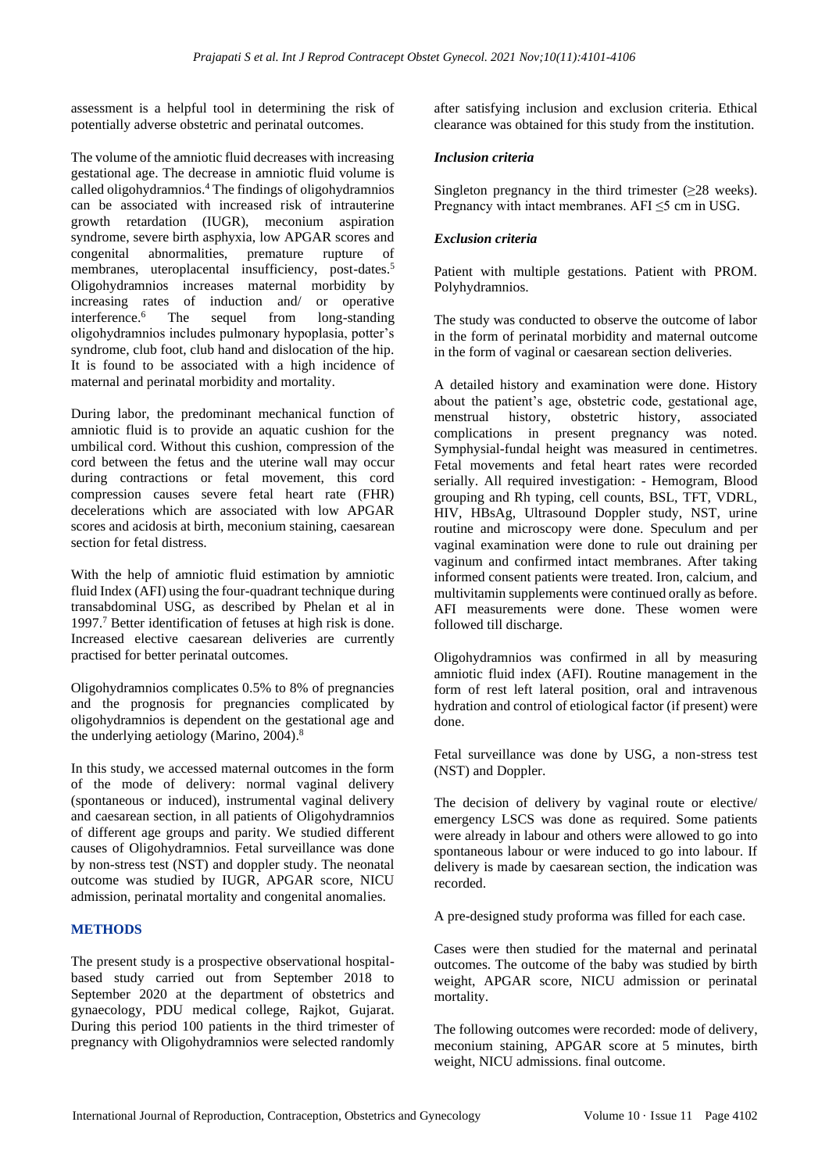assessment is a helpful tool in determining the risk of potentially adverse obstetric and perinatal outcomes.

The volume of the amniotic fluid decreases with increasing gestational age. The decrease in amniotic fluid volume is called oligohydramnios. <sup>4</sup> The findings of oligohydramnios can be associated with increased risk of intrauterine growth retardation (IUGR), meconium aspiration syndrome, severe birth asphyxia, low APGAR scores and congenital abnormalities, premature rupture of membranes, uteroplacental insufficiency, post-dates.<sup>5</sup> Oligohydramnios increases maternal morbidity by increasing rates of induction and/ or operative interference. The sequel from long-standing oligohydramnios includes pulmonary hypoplasia, potter's syndrome, club foot, club hand and dislocation of the hip. It is found to be associated with a high incidence of maternal and perinatal morbidity and mortality.

During labor, the predominant mechanical function of amniotic fluid is to provide an aquatic cushion for the umbilical cord. Without this cushion, compression of the cord between the fetus and the uterine wall may occur during contractions or fetal movement, this cord compression causes severe fetal heart rate (FHR) decelerations which are associated with low APGAR scores and acidosis at birth, meconium staining, caesarean section for fetal distress.

With the help of amniotic fluid estimation by amniotic fluid Index (AFI) using the four-quadrant technique during transabdominal USG, as described by Phelan et al in 1997.<sup>7</sup> Better identification of fetuses at high risk is done. Increased elective caesarean deliveries are currently practised for better perinatal outcomes.

Oligohydramnios complicates 0.5% to 8% of pregnancies and the prognosis for pregnancies complicated by oligohydramnios is dependent on the gestational age and the underlying aetiology (Marino, 2004). 8

In this study, we accessed maternal outcomes in the form of the mode of delivery: normal vaginal delivery (spontaneous or induced), instrumental vaginal delivery and caesarean section, in all patients of Oligohydramnios of different age groups and parity. We studied different causes of Oligohydramnios. Fetal surveillance was done by non-stress test (NST) and doppler study. The neonatal outcome was studied by IUGR, APGAR score, NICU admission, perinatal mortality and congenital anomalies.

## **METHODS**

The present study is a prospective observational hospitalbased study carried out from September 2018 to September 2020 at the department of obstetrics and gynaecology, PDU medical college, Rajkot, Gujarat. During this period 100 patients in the third trimester of pregnancy with Oligohydramnios were selected randomly after satisfying inclusion and exclusion criteria. Ethical clearance was obtained for this study from the institution.

#### *Inclusion criteria*

Singleton pregnancy in the third trimester  $(\geq 28$  weeks). Pregnancy with intact membranes. AFI  $\leq$ 5 cm in USG.

#### *Exclusion criteria*

Patient with multiple gestations. Patient with PROM. Polyhydramnios.

The study was conducted to observe the outcome of labor in the form of perinatal morbidity and maternal outcome in the form of vaginal or caesarean section deliveries.

A detailed history and examination were done. History about the patient's age, obstetric code, gestational age, menstrual history, obstetric history, associated complications in present pregnancy was noted. Symphysial-fundal height was measured in centimetres. Fetal movements and fetal heart rates were recorded serially. All required investigation: - Hemogram, Blood grouping and Rh typing, cell counts, BSL, TFT, VDRL, HIV, HBsAg, Ultrasound Doppler study, NST, urine routine and microscopy were done. Speculum and per vaginal examination were done to rule out draining per vaginum and confirmed intact membranes. After taking informed consent patients were treated. Iron, calcium, and multivitamin supplements were continued orally as before. AFI measurements were done. These women were followed till discharge.

Oligohydramnios was confirmed in all by measuring amniotic fluid index (AFI). Routine management in the form of rest left lateral position, oral and intravenous hydration and control of etiological factor (if present) were done.

Fetal surveillance was done by USG, a non-stress test (NST) and Doppler.

The decision of delivery by vaginal route or elective/ emergency LSCS was done as required. Some patients were already in labour and others were allowed to go into spontaneous labour or were induced to go into labour. If delivery is made by caesarean section, the indication was recorded.

A pre-designed study proforma was filled for each case.

Cases were then studied for the maternal and perinatal outcomes. The outcome of the baby was studied by birth weight, APGAR score, NICU admission or perinatal mortality.

The following outcomes were recorded: mode of delivery, meconium staining, APGAR score at 5 minutes, birth weight, NICU admissions. final outcome.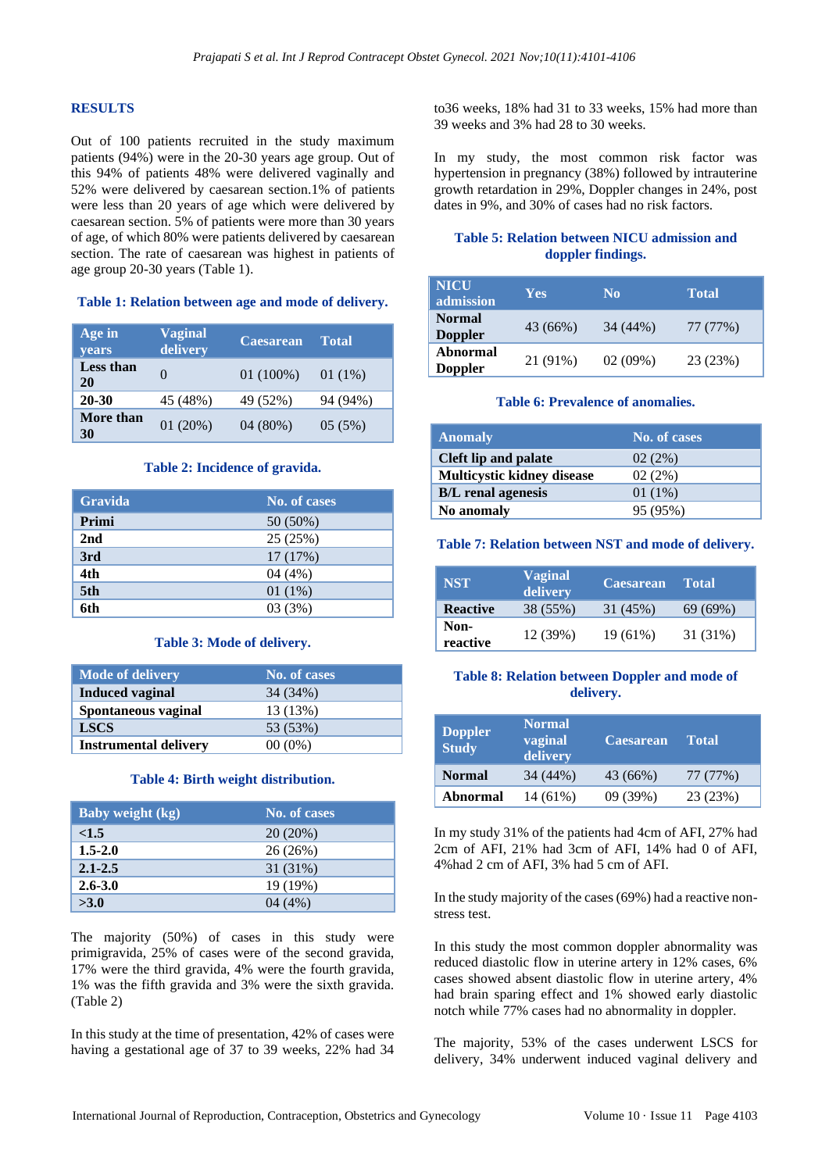#### **RESULTS**

Out of 100 patients recruited in the study maximum patients (94%) were in the 20-30 years age group. Out of this 94% of patients 48% were delivered vaginally and 52% were delivered by caesarean section.1% of patients were less than 20 years of age which were delivered by caesarean section. 5% of patients were more than 30 years of age, of which 80% were patients delivered by caesarean section. The rate of caesarean was highest in patients of age group 20-30 years (Table 1).

#### **Table 1: Relation between age and mode of delivery.**

| Age in<br><b>vears</b> | <b>Vaginal</b><br>delivery | <b>Caesarean</b> | <b>Total</b> |
|------------------------|----------------------------|------------------|--------------|
| <b>Less than</b><br>20 | $\Omega$                   | $01(100\%)$      | 01 $(1\%)$   |
| 20-30                  | 45 (48%)                   | 49 (52%)         | 94 (94%)     |
| More than<br>30        | 01(20%)                    | 04(80%)          | 05(5%)       |

#### **Table 2: Incidence of gravida.**

| <b>Gravida</b> | No. of cases |
|----------------|--------------|
| Primi          | 50 (50%)     |
| 2nd            | 25 (25%)     |
| 3rd            | 17 (17%)     |
| 4th            | 04(4%)       |
| 5th            | 01 $(1\%)$   |
| 6th            | 03(3%)       |

#### **Table 3: Mode of delivery.**

| <b>Mode of delivery</b>      | No. of cases |
|------------------------------|--------------|
| Induced vaginal              | 34 (34%)     |
| Spontaneous vaginal          | 13 (13%)     |
| <b>LSCS</b>                  | 53 (53%)     |
| <b>Instrumental delivery</b> | $00(0\%)$    |

#### **Table 4: Birth weight distribution.**

| <b>Baby weight (kg)</b> | No. of cases |
|-------------------------|--------------|
| <1.5                    | $20(20\%)$   |
| $1.5 - 2.0$             | 26 (26%)     |
| $2.1 - 2.5$             | 31 (31%)     |
| $2.6 - 3.0$             | 19 (19%)     |
| >3.0                    | 04(4%)       |

The majority (50%) of cases in this study were primigravida, 25% of cases were of the second gravida, 17% were the third gravida, 4% were the fourth gravida, 1% was the fifth gravida and 3% were the sixth gravida. (Table 2)

In this study at the time of presentation, 42% of cases were having a gestational age of 37 to 39 weeks, 22% had 34

to36 weeks, 18% had 31 to 33 weeks, 15% had more than 39 weeks and 3% had 28 to 30 weeks.

In my study, the most common risk factor was hypertension in pregnancy (38%) followed by intrauterine growth retardation in 29%, Doppler changes in 24%, post dates in 9%, and 30% of cases had no risk factors.

#### **Table 5: Relation between NICU admission and doppler findings.**

| <b>NICU</b><br>admission        | Yes      | N <sub>0</sub> | <b>Total</b> |
|---------------------------------|----------|----------------|--------------|
| <b>Normal</b><br><b>Doppler</b> | 43 (66%) | 34 (44%)       | 77 (77%)     |
| Abnormal<br><b>Doppler</b>      | 21 (91%) | 02(09%)        | 23 (23%)     |

#### **Table 6: Prevalence of anomalies.**

| <b>Anomaly</b>              | No. of cases |
|-----------------------------|--------------|
| <b>Cleft lip and palate</b> | 02(2%)       |
| Multicystic kidney disease  | 02(2%)       |
| <b>B/L</b> renal agenesis   | 01 $(1%)$    |
| No anomaly                  | 95 (95%)     |

## **Table 7: Relation between NST and mode of delivery.**

| <b>NST</b>       | <b>Vaginal</b><br>delivery | <b>Caesarean</b> | <b>Total</b> |
|------------------|----------------------------|------------------|--------------|
| <b>Reactive</b>  | 38 (55%)                   | 31 (45%)         | 69 (69%)     |
| Non-<br>reactive | 12 (39%)                   | $19(61\%)$       | 31 (31%)     |

#### **Table 8: Relation between Doppler and mode of delivery.**

| <b>Doppler</b><br><b>Study</b> | <b>Normal</b><br>vaginal<br>delivery | <b>Caesarean</b> | <b>Total</b> |
|--------------------------------|--------------------------------------|------------------|--------------|
| <b>Normal</b>                  | 34 (44%)                             | 43 (66%)         | 77 (77%)     |
| Abnormal                       | 14 (61%)                             | 09 (39%)         | 23 (23%)     |

In my study 31% of the patients had 4cm of AFI, 27% had 2cm of AFI, 21% had 3cm of AFI, 14% had 0 of AFI, 4%had 2 cm of AFI, 3% had 5 cm of AFI.

In the study majority of the cases (69%) had a reactive nonstress test.

In this study the most common doppler abnormality was reduced diastolic flow in uterine artery in 12% cases, 6% cases showed absent diastolic flow in uterine artery, 4% had brain sparing effect and 1% showed early diastolic notch while 77% cases had no abnormality in doppler.

The majority, 53% of the cases underwent LSCS for delivery, 34% underwent induced vaginal delivery and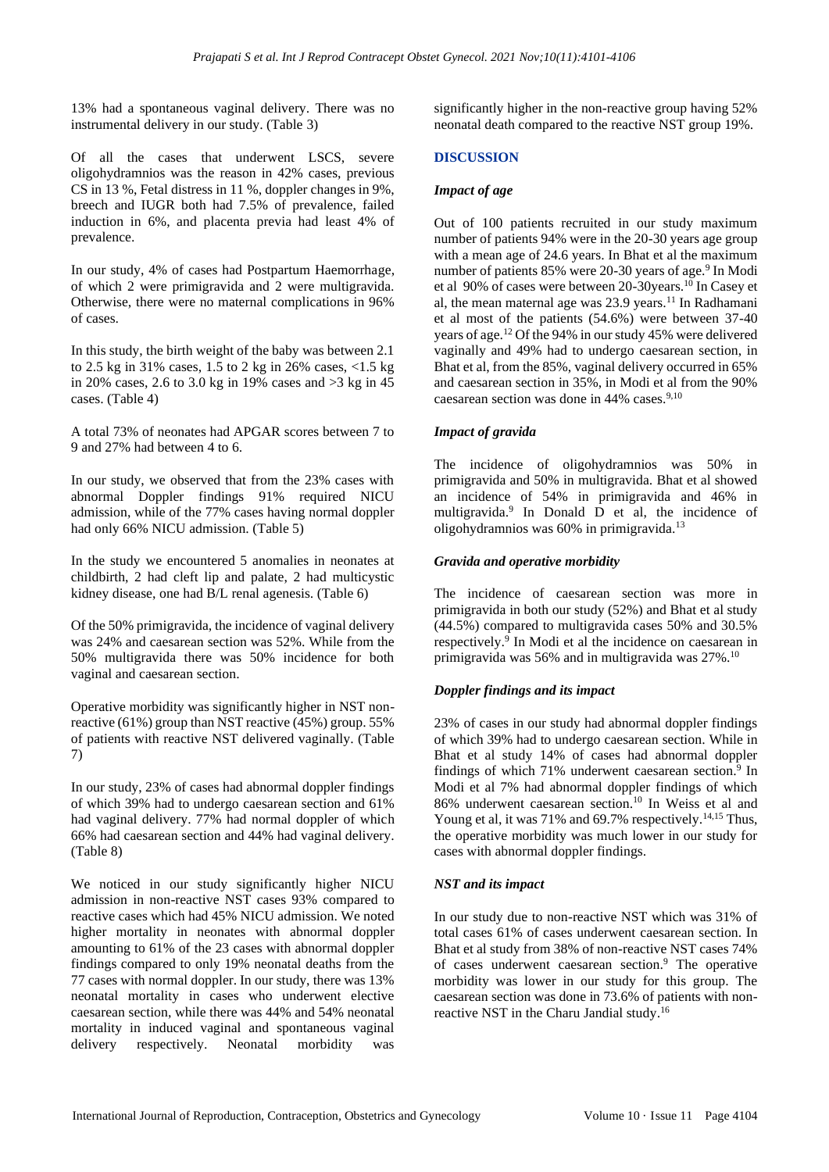13% had a spontaneous vaginal delivery. There was no instrumental delivery in our study. (Table 3)

Of all the cases that underwent LSCS, severe oligohydramnios was the reason in 42% cases, previous CS in 13 %, Fetal distress in 11 %, doppler changes in 9%, breech and IUGR both had 7.5% of prevalence, failed induction in 6%, and placenta previa had least 4% of prevalence.

In our study, 4% of cases had Postpartum Haemorrhage, of which 2 were primigravida and 2 were multigravida. Otherwise, there were no maternal complications in 96% of cases.

In this study, the birth weight of the baby was between 2.1 to 2.5 kg in 31% cases, 1.5 to 2 kg in 26% cases, <1.5 kg in 20% cases, 2.6 to 3.0 kg in 19% cases and  $>3$  kg in 45 cases. (Table 4)

A total 73% of neonates had APGAR scores between 7 to 9 and 27% had between 4 to 6.

In our study, we observed that from the 23% cases with abnormal Doppler findings 91% required NICU admission, while of the 77% cases having normal doppler had only 66% NICU admission. (Table 5)

In the study we encountered 5 anomalies in neonates at childbirth, 2 had cleft lip and palate, 2 had multicystic kidney disease, one had B/L renal agenesis. (Table 6)

Of the 50% primigravida, the incidence of vaginal delivery was 24% and caesarean section was 52%. While from the 50% multigravida there was 50% incidence for both vaginal and caesarean section.

Operative morbidity was significantly higher in NST nonreactive (61%) group than NST reactive (45%) group. 55% of patients with reactive NST delivered vaginally. (Table 7)

In our study, 23% of cases had abnormal doppler findings of which 39% had to undergo caesarean section and 61% had vaginal delivery. 77% had normal doppler of which 66% had caesarean section and 44% had vaginal delivery. (Table 8)

We noticed in our study significantly higher NICU admission in non-reactive NST cases 93% compared to reactive cases which had 45% NICU admission. We noted higher mortality in neonates with abnormal doppler amounting to 61% of the 23 cases with abnormal doppler findings compared to only 19% neonatal deaths from the 77 cases with normal doppler. In our study, there was 13% neonatal mortality in cases who underwent elective caesarean section, while there was 44% and 54% neonatal mortality in induced vaginal and spontaneous vaginal delivery respectively. Neonatal morbidity was significantly higher in the non-reactive group having 52% neonatal death compared to the reactive NST group 19%.

#### **DISCUSSION**

#### *Impact of age*

Out of 100 patients recruited in our study maximum number of patients 94% were in the 20-30 years age group with a mean age of 24.6 years. In Bhat et al the maximum number of patients 85% were 20-30 years of age.<sup>9</sup> In Modi et al 90% of cases were between 20-30years.<sup>10</sup> In Casey et al, the mean maternal age was  $23.9$  years.<sup>11</sup> In Radhamani et al most of the patients (54.6%) were between 37-40 years of age.<sup>12</sup> Of the 94% in our study 45% were delivered vaginally and 49% had to undergo caesarean section, in Bhat et al, from the 85%, vaginal delivery occurred in 65% and caesarean section in 35%, in Modi et al from the 90% caesarean section was done in 44% cases.<sup>9,10</sup>

#### *Impact of gravida*

The incidence of oligohydramnios was 50% in primigravida and 50% in multigravida. Bhat et al showed an incidence of 54% in primigravida and 46% in multigravida. 9 In Donald D et al, the incidence of oligohydramnios was 60% in primigravida.<sup>13</sup>

#### *Gravida and operative morbidity*

The incidence of caesarean section was more in primigravida in both our study (52%) and Bhat et al study (44.5%) compared to multigravida cases 50% and 30.5% respectively.<sup>9</sup> In Modi et al the incidence on caesarean in primigravida was 56% and in multigravida was 27%.<sup>10</sup>

#### *Doppler findings and its impact*

23% of cases in our study had abnormal doppler findings of which 39% had to undergo caesarean section. While in Bhat et al study 14% of cases had abnormal doppler findings of which 71% underwent caesarean section.<sup>9</sup> In Modi et al 7% had abnormal doppler findings of which 86% underwent caesarean section.<sup>10</sup> In Weiss et al and Young et al, it was 71% and 69.7% respectively.<sup>14,15</sup> Thus, the operative morbidity was much lower in our study for cases with abnormal doppler findings.

#### *NST and its impact*

In our study due to non-reactive NST which was 31% of total cases 61% of cases underwent caesarean section. In Bhat et al study from 38% of non-reactive NST cases 74% of cases underwent caesarean section.<sup>9</sup> The operative morbidity was lower in our study for this group. The caesarean section was done in 73.6% of patients with nonreactive NST in the Charu Jandial study.<sup>16</sup>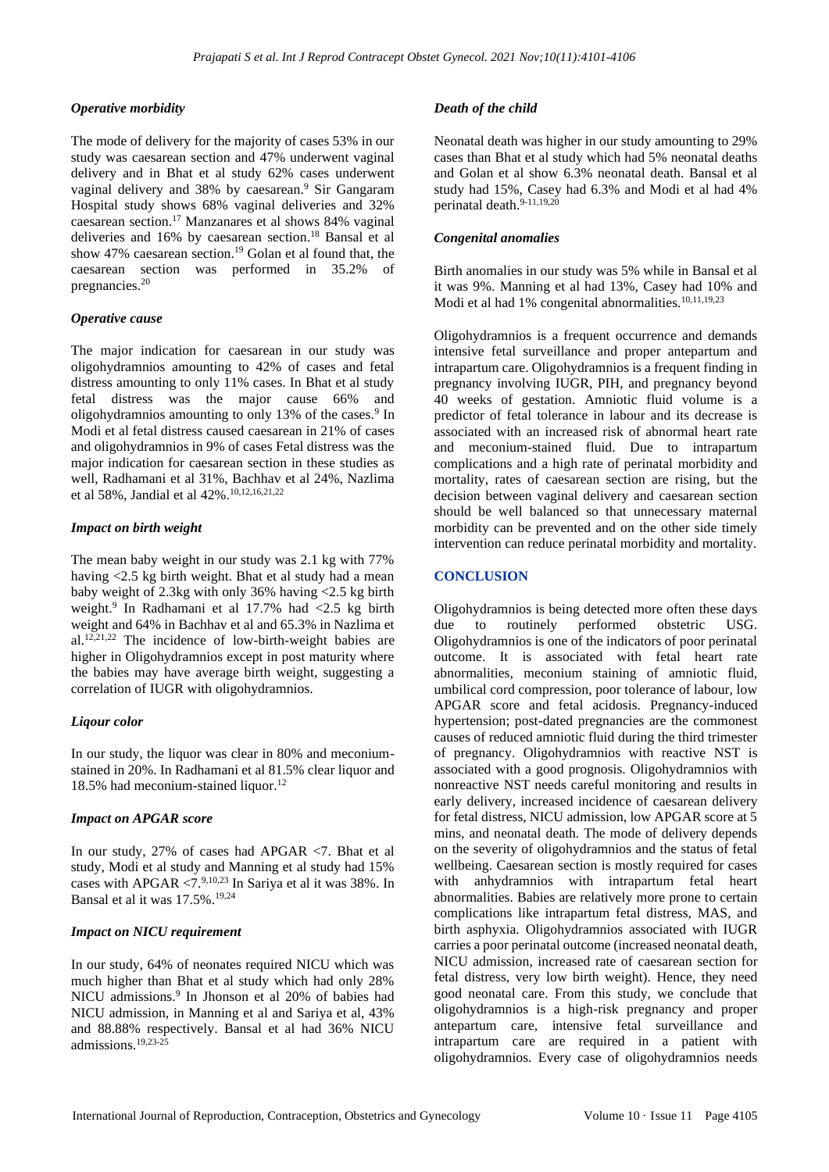#### *Operative morbidity*

The mode of delivery for the majority of cases 53% in our study was caesarean section and 47% underwent vaginal delivery and in Bhat et al study 62% cases underwent vaginal delivery and 38% by caesarean. <sup>9</sup> Sir Gangaram Hospital study shows 68% vaginal deliveries and 32% caesarean section.<sup>17</sup> Manzanares et al shows 84% vaginal deliveries and 16% by caesarean section.<sup>18</sup> Bansal et al show 47% caesarean section.<sup>19</sup> Golan et al found that, the caesarean section was performed in 35.2% of pregnancies.<sup>20</sup>

#### *Operative cause*

The major indication for caesarean in our study was oligohydramnios amounting to 42% of cases and fetal distress amounting to only 11% cases. In Bhat et al study fetal distress was the major cause 66% and oligohydramnios amounting to only 13% of the cases.<sup>9</sup> In Modi et al fetal distress caused caesarean in 21% of cases and oligohydramnios in 9% of cases Fetal distress was the major indication for caesarean section in these studies as well, Radhamani et al 31%, Bachhav et al 24%, Nazlima et al 58%, Jandial et al 42%.10,12,16,21,22

#### *Impact on birth weight*

The mean baby weight in our study was 2.1 kg with 77% having <2.5 kg birth weight. Bhat et al study had a mean baby weight of 2.3kg with only 36% having <2.5 kg birth weight.<sup>9</sup> In Radhamani et al 17.7% had <2.5 kg birth weight and 64% in Bachhav et al and 65.3% in Nazlima et al. 12,21,22 The incidence of low-birth-weight babies are higher in Oligohydramnios except in post maturity where the babies may have average birth weight, suggesting a correlation of IUGR with oligohydramnios.

#### *Liqour color*

In our study, the liquor was clear in 80% and meconiumstained in 20%. In Radhamani et al 81.5% clear liquor and 18.5% had meconium-stained liquor.<sup>12</sup>

#### *Impact on APGAR score*

In our study, 27% of cases had APGAR <7. Bhat et al study, Modi et al study and Manning et al study had 15% cases with APGAR  $\langle 7.9,10,23 \rangle$  In Sariya et al it was 38%. In Bansal et al it was 17.5%.19,24

#### *Impact on NICU requirement*

In our study, 64% of neonates required NICU which was much higher than Bhat et al study which had only 28% NICU admissions.<sup>9</sup> In Jhonson et al 20% of babies had NICU admission, in Manning et al and Sariya et al, 43% and 88.88% respectively. Bansal et al had 36% NICU admissions.19,23-25

#### *Death of the child*

Neonatal death was higher in our study amounting to 29% cases than Bhat et al study which had 5% neonatal deaths and Golan et al show 6.3% neonatal death. Bansal et al study had 15%, Casey had 6.3% and Modi et al had 4% perinatal death.<sup>9-11,19,20</sup>

#### *Congenital anomalies*

Birth anomalies in our study was 5% while in Bansal et al it was 9%. Manning et al had 13%, Casey had 10% and Modi et al had 1% congenital abnormalities.<sup>10,11,19,23</sup>

Oligohydramnios is a frequent occurrence and demands intensive fetal surveillance and proper antepartum and intrapartum care. Oligohydramnios is a frequent finding in pregnancy involving IUGR, PIH, and pregnancy beyond 40 weeks of gestation. Amniotic fluid volume is a predictor of fetal tolerance in labour and its decrease is associated with an increased risk of abnormal heart rate and meconium-stained fluid. Due to intrapartum complications and a high rate of perinatal morbidity and mortality, rates of caesarean section are rising, but the decision between vaginal delivery and caesarean section should be well balanced so that unnecessary maternal morbidity can be prevented and on the other side timely intervention can reduce perinatal morbidity and mortality.

#### **CONCLUSION**

Oligohydramnios is being detected more often these days due to routinely performed obstetric USG. Oligohydramnios is one of the indicators of poor perinatal outcome. It is associated with fetal heart rate abnormalities, meconium staining of amniotic fluid, umbilical cord compression, poor tolerance of labour, low APGAR score and fetal acidosis. Pregnancy-induced hypertension; post-dated pregnancies are the commonest causes of reduced amniotic fluid during the third trimester of pregnancy. Oligohydramnios with reactive NST is associated with a good prognosis. Oligohydramnios with nonreactive NST needs careful monitoring and results in early delivery, increased incidence of caesarean delivery for fetal distress, NICU admission, low APGAR score at 5 mins, and neonatal death. The mode of delivery depends on the severity of oligohydramnios and the status of fetal wellbeing. Caesarean section is mostly required for cases with anhydramnios with intrapartum fetal heart abnormalities. Babies are relatively more prone to certain complications like intrapartum fetal distress, MAS, and birth asphyxia. Oligohydramnios associated with IUGR carries a poor perinatal outcome (increased neonatal death, NICU admission, increased rate of caesarean section for fetal distress, very low birth weight). Hence, they need good neonatal care. From this study, we conclude that oligohydramnios is a high-risk pregnancy and proper antepartum care, intensive fetal surveillance and intrapartum care are required in a patient with oligohydramnios. Every case of oligohydramnios needs